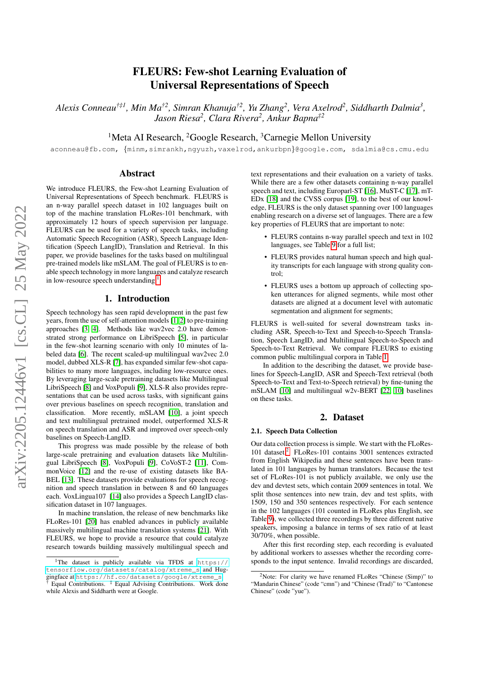# FLEURS: Few-shot Learning Evaluation of Universal Representations of Speech

*Alexis Conneau†‡1, Min Ma†2, Simran Khanuja†2, Yu Zhang<sup>2</sup> , Vera Axelrod<sup>2</sup> , Siddharth Dalmia<sup>3</sup> , Jason Riesa<sup>2</sup> , Clara Rivera<sup>2</sup> , Ankur Bapna‡2*

<sup>1</sup>Meta AI Research, <sup>2</sup>Google Research, <sup>3</sup>Carnegie Mellon University

aconneau@fb.com, {minm,simrankh,ngyuzh,vaxelrod,ankurbpn}@google.com, sdalmia@cs.cmu.edu

## Abstract

We introduce FLEURS, the Few-shot Learning Evaluation of Universal Representations of Speech benchmark. FLEURS is an n-way parallel speech dataset in 102 languages built on top of the machine translation FLoRes-101 benchmark, with approximately 12 hours of speech supervision per language. FLEURS can be used for a variety of speech tasks, including Automatic Speech Recognition (ASR), Speech Language Identification (Speech LangID), Translation and Retrieval. In this paper, we provide baselines for the tasks based on multilingual pre-trained models like mSLAM. The goal of FLEURS is to enable speech technology in more languages and catalyze research in low-resource speech understanding.

# 1. Introduction

Speech technology has seen rapid development in the past few years, from the use of self-attention models [\[1,](#page-4-0) [2\]](#page-4-1) to pre-training approaches [\[3,](#page-4-2) [4\]](#page-4-3). Methods like wav2vec 2.0 have demonstrated strong performance on LibriSpeech [\[5\]](#page-4-4), in particular in the few-shot learning scenario with only 10 minutes of labeled data [\[6\]](#page-4-5). The recent scaled-up multilingual wav2vec 2.0 model, dubbed XLS-R [\[7\]](#page-4-6), has expanded similar few-shot capabilities to many more languages, including low-resource ones. By leveraging large-scale pretraining datasets like Multilingual LibriSpeech [\[8\]](#page-4-7) and VoxPopuli [\[9\]](#page-4-8), XLS-R also provides representations that can be used across tasks, with significant gains over previous baselines on speech recognition, translation and classification. More recently, mSLAM [\[10\]](#page-4-9), a joint speech and text multilingual pretrained model, outperformed XLS-R on speech translation and ASR and improved over speech-only baselines on Speech-LangID.

This progress was made possible by the release of both large-scale pretraining and evaluation datasets like Multilingual LibriSpeech [\[8\]](#page-4-7), VoxPopuli [\[9\]](#page-4-8), CoVoST-2 [\[11\]](#page-4-10), CommonVoice [\[12\]](#page-4-11) and the re-use of existing datasets like BA-BEL [\[13\]](#page-4-12). These datasets provide evaluations for speech recognition and speech translation in between 8 and 60 languages each. VoxLingua107 [\[14\]](#page-4-13) also provides a Speech LangID classification dataset in 107 languages.

In machine translation, the release of new benchmarks like FLoRes-101 [\[20\]](#page-5-0) has enabled advances in publicly available massively multilingual machine translation systems [\[21\]](#page-5-1). With FLEURS, we hope to provide a resource that could catalyze research towards building massively multilingual speech and

text representations and their evaluation on a variety of tasks. While there are a few other datasets containing n-way parallel speech and text, including Europarl-ST [\[16\]](#page-4-14), MuST-C [\[17\]](#page-4-15), mT-EDx [\[18\]](#page-4-16) and the CVSS corpus [\[19\]](#page-4-17), to the best of our knowledge, FLEURS is the only dataset spanning over 100 languages enabling research on a diverse set of languages. There are a few key properties of FLEURS that are important to note:

- FLEURS contains n-way parallel speech and text in 102 languages, see Table [9](#page-8-0) for a full list;
- FLEURS provides natural human speech and high quality transcripts for each language with strong quality control;
- FLEURS uses a bottom up approach of collecting spoken utterances for aligned segments, while most other datasets are aligned at a document level with automatic segmentation and alignment for segments;

FLEURS is well-suited for several downstream tasks including ASR, Speech-to-Text and Speech-to-Speech Translation, Speech LangID, and Multilingual Speech-to-Speech and Speech-to-Text Retrieval. We compare FLEURS to existing common public multilingual corpora in Table [1.](#page-1-0)

In addition to the describing the dataset, we provide baselines for Speech-LangID, ASR and Speech-Text retrieval (both Speech-to-Text and Text-to-Speech retrieval) by fine-tuning the mSLAM [\[10\]](#page-4-9) and multilingual w2v-BERT [\[22,](#page-5-2) [10\]](#page-4-9) baselines on these tasks.

## 2. Dataset

#### 2.1. Speech Data Collection

Our data collection process is simple. We start with the FLoRes-101 dataset.<sup>[2](#page-0-1)</sup> FLoRes-101 contains 3001 sentences extracted from English Wikipedia and these sentences have been translated in 101 languages by human translators. Because the test set of FLoRes-101 is not publicly available, we only use the dev and devtest sets, which contain 2009 sentences in total. We split those sentences into new train, dev and test splits, with 1509, 150 and 350 sentences respectively. For each sentence in the 102 languages (101 counted in FLoRes plus English, see Table [9\)](#page-8-0), we collected three recordings by three different native speakers, imposing a balance in terms of sex ratio of at least 30/70%, when possible.

After this first recording step, each recording is evaluated by additional workers to assesses whether the recording corresponds to the input sentence. Invalid recordings are discarded,

<span id="page-0-0"></span><sup>&</sup>lt;sup>1</sup>The dataset is publicly available via TFDS at  $https://$ [tensorflow.org/datasets/catalog/xtreme\\_s](https://tensorflow.org/datasets/catalog/xtreme_s) and Huggingface at [https://hf.co/datasets/google/xtreme\\_s](https://hf.co/datasets/google/xtreme_s). † Equal Contributions. ‡ Equal Advising Contributions. Work done while Alexis and Siddharth were at Google.

<span id="page-0-1"></span><sup>&</sup>lt;sup>2</sup>Note: For clarity we have renamed FLoRes "Chinese (Simp)" to "Mandarin Chinese" (code "cmn") and "Chinese (Trad)" to "Cantonese Chinese" (code "yue").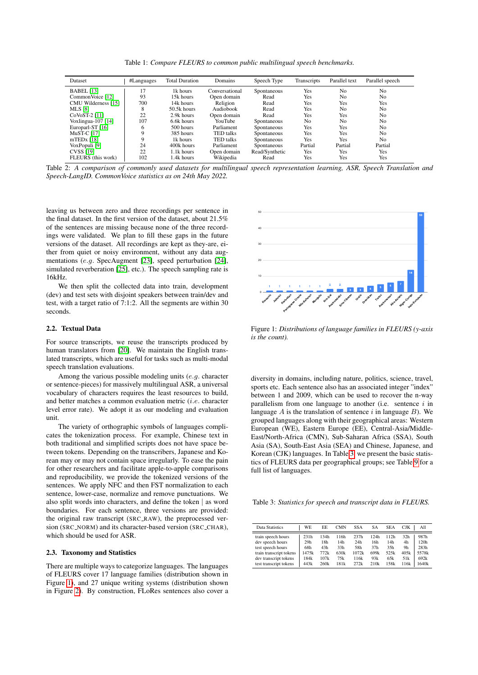Table 1: *Compare FLEURS to common public multilingual speech benchmarks.*

<span id="page-1-0"></span>

| Dataset              | #Languages | <b>Total Duration</b> | Domains          | Speech Type    | <b>Transcripts</b> | Parallel text  | Parallel speech |
|----------------------|------------|-----------------------|------------------|----------------|--------------------|----------------|-----------------|
| <b>BABEL</b> [13]    | 17         | 1k hours              | Conversational   | Spontaneous    | Yes                | N <sub>0</sub> | No              |
| Common Voice [12]    | 93         | 15k hours             | Open domain      | Read           | Yes                | No             | No              |
| CMU Wilderness [15]  | 700        | 14k hours             | Religion         | Read           | Yes                | Yes            | Yes             |
| <b>MLS</b> [8]       | 8          | $50.5k$ hours         | Audiobook        | Read           | Yes                | N <sub>0</sub> | No              |
| CoVoST-2 [11]        | 22         | 2.9k hours            | Open domain      | Read           | Yes                | Yes            | No              |
| Voxlingua-107 $[14]$ | 107        | 6.6k hours            | <b>YouTube</b>   | Spontaneous    | No.                | N <sub>0</sub> | No              |
| Europarl-ST $[16]$   | O          | $500$ hours           | Parliament       | Spontaneous    | Yes                | Yes            | No              |
| MuST-C [17]          | Q          | 385 hours             | <b>TED</b> talks | Spontaneous    | Yes                | Yes            | No              |
| $mTEDX$ [18]         | 9          | 1k hours              | <b>TED</b> talks | Spontaneous    | Yes                | Yes            | No              |
| VoxPopuli [9]        | 24         | 400k hours            | Parliament       | Spontaneous    | Partial            | Partial        | Partial         |
| <b>CVSS</b> [19]     | 22         | 1.1k hours            | Open domain      | Read/Synthetic | Yes                | Yes            | Yes             |
| FLEURS (this work)   | 102        | 1.4k hours            | Wikipedia        | Read           | Yes                | Yes            | Yes             |

Table 2: *A comparison of commonly used datasets for multilingual speech representation learning, ASR, Speech Translation and Speech-LangID. CommonVoice statistics as on 24th May 2022.*

leaving us between zero and three recordings per sentence in the final dataset. In the first version of the dataset, about 21.5% of the sentences are missing because none of the three recordings were validated. We plan to fill these gaps in the future versions of the dataset. All recordings are kept as they-are, either from quiet or noisy environment, without any data augmentations (e.g. SpecAugment [\[23\]](#page-5-3), speed perturbation [\[24\]](#page-5-4), simulated reverberation [\[25\]](#page-5-5), etc.). The speech sampling rate is 16kHz.

We then split the collected data into train, development (dev) and test sets with disjoint speakers between train/dev and test, with a target ratio of 7:1:2. All the segments are within 30 seconds.

### 2.2. Textual Data

For source transcripts, we reuse the transcripts produced by human translators from [\[20\]](#page-5-0). We maintain the English translated transcripts, which are useful for tasks such as multi-modal speech translation evaluations.

Among the various possible modeling units (e.g. character or sentence-pieces) for massively multilingual ASR, a universal vocabulary of characters requires the least resources to build, and better matches a common evaluation metric (i.e. character level error rate). We adopt it as our modeling and evaluation unit.

The variety of orthographic symbols of languages complicates the tokenization process. For example, Chinese text in both traditional and simplified scripts does not have space between tokens. Depending on the transcribers, Japanese and Korean may or may not contain space irregularly. To ease the pain for other researchers and facilitate apple-to-apple comparisons and reproducibility, we provide the tokenized versions of the sentences. We apply NFC and then FST normalization to each sentence, lower-case, normalize and remove punctuations. We also split words into characters, and define the token | as word boundaries. For each sentence, three versions are provided: the original raw transcript (SRC RAW), the preprocessed version (SRC\_NORM) and its character-based version (SRC\_CHAR), which should be used for ASR. (dev) and test sets with disjoint speakers between train/dev and<br>seconds.<br>Seconds.<br>Seconds.<br>Seconds.<br>Seconds.<br>The segments are within 30<br> $\bullet$ <br>seconds.<br>2.2. Textual Data Figure 2011.<br>Por source transcripts, which are usefu

#### 2.3. Taxonomy and Statistics

There are multiple ways to categorize languages. The languages of FLEURS cover 17 language families (distribution shown in Figure [1\)](#page-1-1), and 27 unique writing systems (distribution shown

<span id="page-1-1"></span>

Figure 1: *Distributions of language families in FLEURS (y-axis is the count).*

diversity in domains, including nature, politics, science, travel, sports etc. Each sentence also has an associated integer "index" between 1 and 2009, which can be used to recover the n-way parallelism from one language to another (i.e. sentence  $i$  in language A is the translation of sentence i in language  $B$ ). We grouped languages along with their geographical areas: Western European (WE), Eastern Europe (EE), Central-Asia/Middle-East/North-Africa (CMN), Sub-Saharan Africa (SSA), South Asia (SA), South-East Asia (SEA) and Chinese, Japanese, and Korean (CJK) languages. In Table [3,](#page-1-2) we present the basic statistics of FLEURS data per geographical groups; see Table [9](#page-8-0) for a full list of languages.

<span id="page-1-2"></span>Table 3: *Statistics for speech and transcript data in FLEURS.*

| Data Statistics                                                                                                 | WE.                                 | EE                                 | <b>CMN</b>                        | <b>SSA</b>                          | SА                                            | <b>SEA</b>                        | <b>CJK</b>                                 | All                                   |
|-----------------------------------------------------------------------------------------------------------------|-------------------------------------|------------------------------------|-----------------------------------|-------------------------------------|-----------------------------------------------|-----------------------------------|--------------------------------------------|---------------------------------------|
| train speech hours<br>dev speech hours<br>test speech hours<br>train transcript tokens<br>dev transcript tokens | 231h<br>29h<br>68h<br>1475k<br>184k | 134h<br>18h<br>43h<br>772k<br>107k | 116h<br>14h<br>33h<br>630k<br>75k | 237h<br>24h<br>58h<br>1072k<br>116k | 124h<br>16h<br>37 <sub>h</sub><br>699k<br>93k | 112h<br>14h<br>35h<br>525k<br>65k | 32h<br>4h<br>9h<br>405k<br>51 <sub>k</sub> | 987h<br>120h<br>283h<br>5578k<br>692k |
| test transcript tokens                                                                                          | 443k                                | 260k                               | 181k                              | 272k                                | 210k                                          | 158k                              | 116k                                       | 1640k                                 |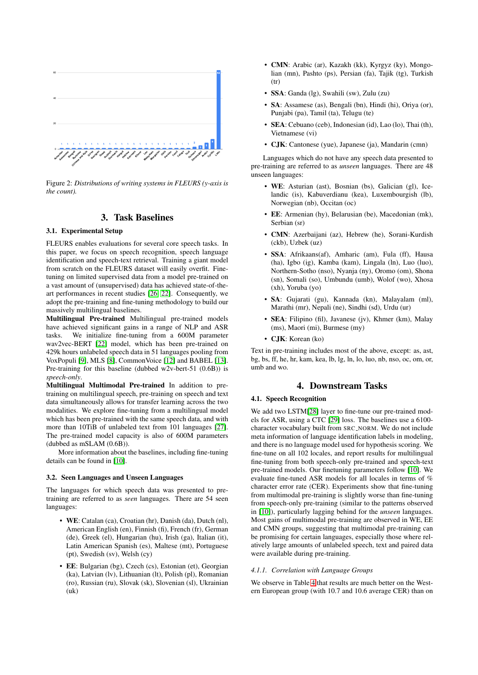<span id="page-2-0"></span>

Figure 2: *Distributions of writing systems in FLEURS (y-axis is the count).*

# 3. Task Baselines

#### 3.1. Experimental Setup

FLEURS enables evaluations for several core speech tasks. In this paper, we focus on speech recognition, speech language identification and speech-text retrieval. Training a giant model from scratch on the FLEURS dataset will easily overfit. Finetuning on limited supervised data from a model pre-trained on a vast amount of (unsupervised) data has achieved state-of-theart performances in recent studies [\[26,](#page-5-6) [22\]](#page-5-2). Consequently, we adopt the pre-training and fine-tuning methodology to build our massively multilingual baselines.

Multilingual Pre-trained Multilingual pre-trained models have achieved significant gains in a range of NLP and ASR tasks. We initialize fine-tuning from a 600M parameter wav2vec-BERT [\[22\]](#page-5-2) model, which has been pre-trained on 429k hours unlabeled speech data in 51 languages pooling from VoxPopuli [\[9\]](#page-4-8), MLS [\[8\]](#page-4-7), CommonVoice [\[12\]](#page-4-11) and BABEL [\[13\]](#page-4-12). Pre-training for this baseline (dubbed w2v-bert-51 (0.6B)) is *speech-only*.

Multilingual Multimodal Pre-trained In addition to pretraining on multilingual speech, pre-training on speech and text data simultaneously allows for transfer learning across the two modalities. We explore fine-tuning from a multilingual model which has been pre-trained with the same speech data, and with more than 10TiB of unlabeled text from 101 languages [\[27\]](#page-5-7). The pre-trained model capacity is also of 600M parameters (dubbed as mSLAM (0.6B)).

More information about the baselines, including fine-tuning details can be found in [\[10\]](#page-4-9).

#### 3.2. Seen Languages and Unseen Languages

The languages for which speech data was presented to pretraining are referred to as *seen* languages. There are 54 seen languages:

- WE: Catalan (ca), Croatian (hr), Danish (da), Dutch (nl), American English (en), Finnish (fi), French (fr), German (de), Greek (el), Hungarian (hu), Irish (ga), Italian (it), Latin American Spanish (es), Maltese (mt), Portuguese (pt), Swedish (sv), Welsh (cy)
- EE: Bulgarian (bg), Czech (cs), Estonian (et), Georgian (ka), Latvian (lv), Lithuanian (lt), Polish (pl), Romanian (ro), Russian (ru), Slovak (sk), Slovenian (sl), Ukrainian (uk)
- CMN: Arabic (ar), Kazakh (kk), Kyrgyz (ky), Mongolian (mn), Pashto (ps), Persian (fa), Tajik (tg), Turkish (tr)
- SSA: Ganda (lg), Swahili (sw), Zulu (zu)
- SA: Assamese (as), Bengali (bn), Hindi (hi), Oriya (or), Punjabi (pa), Tamil (ta), Telugu (te)
- SEA: Cebuano (ceb), Indonesian (id), Lao (lo), Thai (th), Vietnamese (vi)
- CJK: Cantonese (yue), Japanese (ja), Mandarin (cmn)

Languages which do not have any speech data presented to pre-training are referred to as *unseen* languages. There are 48 unseen languages:

- WE: Asturian (ast), Bosnian (bs), Galician (gl), Icelandic (is), Kabuverdianu (kea), Luxembourgish (lb), Norwegian (nb), Occitan (oc)
- EE: Armenian (hy), Belarusian (be), Macedonian (mk), Serbian (sr)
- CMN: Azerbaijani (az), Hebrew (he), Sorani-Kurdish (ckb), Uzbek (uz)
- SSA: Afrikaans(af), Amharic (am), Fula (ff), Hausa (ha), Igbo (ig), Kamba (kam), Lingala (ln), Luo (luo), Northern-Sotho (nso), Nyanja (ny), Oromo (om), Shona (sn), Somali (so), Umbundu (umb), Wolof (wo), Xhosa (xh), Yoruba (yo)
- SA: Gujarati (gu), Kannada (kn), Malayalam (ml), Marathi (mr), Nepali (ne), Sindhi (sd), Urdu (ur)
- SEA: Filipino (fil), Javanese (jv), Khmer (km), Malay (ms), Maori (mi), Burmese (my)
- **CJK**: Korean (ko)

Text in pre-training includes most of the above, except: as, ast, bg, bs, ff, he, hr, kam, kea, lb, lg, ln, lo, luo, nb, nso, oc, om, or, umb and wo.

# 4. Downstream Tasks

# 4.1. Speech Recognition

We add two LSTM[\[28\]](#page-5-8) layer to fine-tune our pre-trained models for ASR, using a CTC [\[29\]](#page-5-9) loss. The baselines use a 6100 character vocabulary built from SRC NORM. We do not include meta information of language identification labels in modeling, and there is no language model used for hypothesis scoring. We fine-tune on all 102 locales, and report results for multilingual fine-tuning from both speech-only pre-trained and speech-text pre-trained models. Our finetuning parameters follow [\[10\]](#page-4-9). We evaluate fine-tuned ASR models for all locales in terms of % character error rate (CER). Experiments show that fine-tuning from multimodal pre-training is slightly worse than fine-tuning from speech-only pre-training (similar to the patterns observed in [\[10\]](#page-4-9)), particularly lagging behind for the *unseen* languages. Most gains of multimodal pre-training are observed in WE, EE and CMN groups, suggesting that multimodal pre-training can be promising for certain languages, especially those where relatively large amounts of unlabeled speech, text and paired data were available during pre-training.

#### <span id="page-2-1"></span>*4.1.1. Correlation with Language Groups*

We observe in Table [4](#page-3-0) that results are much better on the Western European group (with 10.7 and 10.6 average CER) than on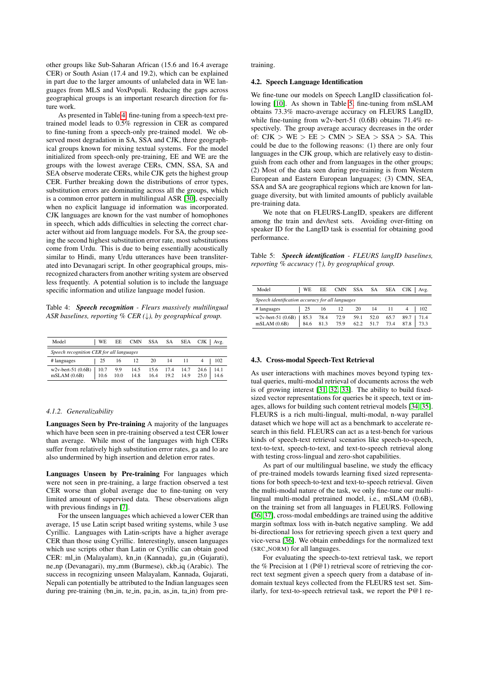other groups like Sub-Saharan African (15.6 and 16.4 average CER) or South Asian (17.4 and 19.2), which can be explained in part due to the larger amounts of unlabeled data in WE languages from MLS and VoxPopuli. Reducing the gaps across geographical groups is an important research direction for future work.

As presented in Table [4,](#page-3-0) fine-tuning from a speech-text pretrained model leads to 0.5% regression in CER as compared to fine-tuning from a speech-only pre-trained model. We observed most degradation in SA, SSA and CJK, three geographical groups known for mixing textual systems. For the model initialized from speech-only pre-training, EE and WE are the groups with the lowest average CERs, CMN, SSA, SA and SEA observe moderate CERs, while CJK gets the highest group CER. Further breaking down the distributions of error types, substitution errors are dominating across all the groups, which is a common error pattern in multilingual ASR [\[30\]](#page-5-10), especially when no explicit language id information was incorporated. CJK languages are known for the vast number of homophones in speech, which adds difficulties in selecting the correct character without aid from language models. For SA, the group seeing the second highest substitution error rate, most substitutions come from Urdu. This is due to being essentially acoustically similar to Hindi, many Urdu utterances have been transliterated into Devanagari script. In other geographical groups, misrecognized characters from another writing system are observed less frequently. A potential solution is to include the language specific information and utilize language model fusion.

<span id="page-3-0"></span>Table 4: *Speech recognition - Fleurs massively multilingual ASR baselines, reporting % CER (*↓*), by geographical group.*

| Model                                    | <b>WE</b>    | EE.         | <b>CMN</b>   | SSA          | SA           | <b>SEA</b>   | CJK<br>Avg.                  |  |  |  |  |  |
|------------------------------------------|--------------|-------------|--------------|--------------|--------------|--------------|------------------------------|--|--|--|--|--|
| Speech recognition CER for all languages |              |             |              |              |              |              |                              |  |  |  |  |  |
| # languages                              | 25           | 16          | 12           | 20           | 14           | 11           | 102                          |  |  |  |  |  |
| $w2v$ -bert-51 $(0.6B)$<br>mSLAM(0.6B)   | 10.7<br>10.6 | 9.9<br>10.0 | 14.5<br>14.8 | 15.6<br>16.4 | 17.4<br>19.2 | 14.7<br>14.9 | 14.1<br>24.6<br>25.0<br>14.6 |  |  |  |  |  |

#### *4.1.2. Generalizability*

Languages Seen by Pre-training A majority of the languages which have been seen in pre-training observed a test CER lower than average. While most of the languages with high CERs suffer from relatively high substitution error rates, ga and lo are also undermined by high insertion and deletion error rates.

Languages Unseen by Pre-training For languages which were not seen in pre-training, a large fraction observed a test CER worse than global average due to fine-tuning on very limited amount of supervised data. These observations align with previous findings in [\[7\]](#page-4-6).

For the unseen languages which achieved a lower CER than average, 15 use Latin script based writing systems, while 3 use Cyrillic. Languages with Latin-scripts have a higher average CER than those using Cyrillic. Interestingly, unseen languages which use scripts other than Latin or Cyrillic can obtain good CER: ml\_in (Malayalam), kn\_in (Kannada), gu\_in (Gujarati), ne np (Devanagari), my mm (Burmese), ckb iq (Arabic). The success in recognizing unseen Malayalam, Kannada, Gujarati, Nepali can potentially be attributed to the Indian languages seen during pre-training (bn\_in, te\_in, pa\_in, as\_in, ta\_in) from pretraining.

#### 4.2. Speech Language Identification

We fine-tune our models on Speech LangID classification following [\[10\]](#page-4-9). As shown in Table [5,](#page-3-1) fine-tuning from mSLAM obtains 73.3% macro-average accuracy on FLEURS LangID, while fine-tuning from w2v-bert-51 (0.6B) obtains 71.4% respectively. The group average accuracy decreases in the order of:  $CJK > WE > EE > CMN > SEA > SSA > SA$ . This could be due to the following reasons: (1) there are only four languages in the CJK group, which are relatively easy to distinguish from each other and from languages in the other groups; (2) Most of the data seen during pre-training is from Western European and Eastern European languages; (3) CMN, SEA, SSA and SA are geographical regions which are known for language diversity, but with limited amounts of publicly available pre-training data.

We note that on FLEURS-LangID, speakers are different among the train and dev/test sets. Avoiding over-fitting on speaker ID for the LangID task is essential for obtaining good performance.

<span id="page-3-1"></span>Table 5: *Speech identification - FLEURS langID baselines, reporting % accuracy (*↑*), by geographical group.*

| Model                                            | l WE |              |              |      |                   |              | EE CMN SSA SA SEA CJK   Avg. |  |  |  |  |
|--------------------------------------------------|------|--------------|--------------|------|-------------------|--------------|------------------------------|--|--|--|--|
| Speech identification accuracy for all languages |      |              |              |      |                   |              |                              |  |  |  |  |
| # languages                                      | 25   |              | 16 12        |      | 20 14 11          |              | 102                          |  |  |  |  |
| $w2v$ -bert-51 (0.6B)   85.3<br>mSLAM(0.6B)      | 84.6 | 78.4<br>81.3 | 72.9<br>75.9 | 59.1 | 52.0<br>62.2 51.7 | 65.7<br>73.4 | 89.7 71.4<br>87.8 73.3       |  |  |  |  |

#### 4.3. Cross-modal Speech-Text Retrieval

As user interactions with machines moves beyond typing textual queries, multi-modal retrieval of documents across the web is of growing interest [\[31,](#page-5-11) [32,](#page-5-12) [33\]](#page-5-13). The ability to build fixedsized vector representations for queries be it speech, text or images, allows for building such content retrieval models [\[34,](#page-5-14) [35\]](#page-5-15). FLEURS is a rich multi-lingual, multi-modal, n-way parallel dataset which we hope will act as a benchmark to accelerate research in this field. FLEURS can act as a test-bench for various kinds of speech-text retrieval scenarios like speech-to-speech, text-to-text, speech-to-text, and text-to-speech retrieval along with testing cross-lingual and zero-shot capabilities.

As part of our multilingual baseline, we study the efficacy of pre-trained models towards learning fixed sized representations for both speech-to-text and text-to-speech retrieval. Given the multi-modal nature of the task, we only fine-tune our multilingual multi-modal pretrained model, i.e., mSLAM (0.6B), on the training set from all languages in FLEURS. Following [\[36,](#page-5-16) [37\]](#page-5-17), cross-modal embeddings are trained using the additive margin softmax loss with in-batch negative sampling. We add bi-directional loss for retrieving speech given a text query and vice-versa [\[36\]](#page-5-16). We obtain embeddings for the normalized text (SRC NORM) for all languages.

For evaluating the speech-to-text retrieval task, we report the % Precision at 1 (P@1) retrieval score of retrieving the correct text segment given a speech query from a database of indomain textual keys collected from the FLEURS test set. Similarly, for text-to-speech retrieval task, we report the P@1 re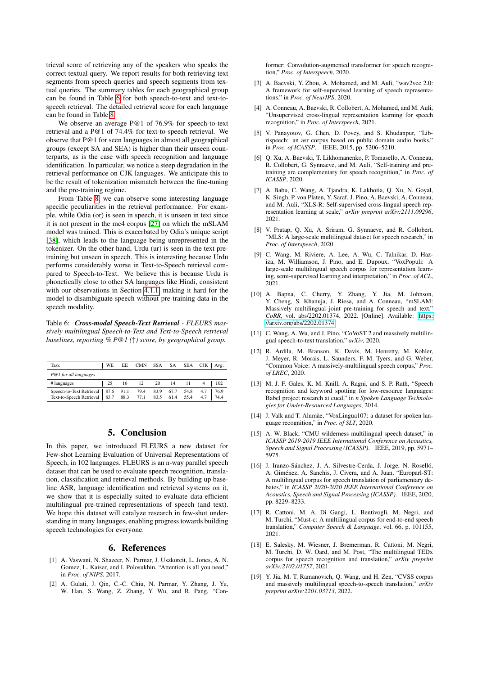trieval score of retrieving any of the speakers who speaks the correct textual query. We report results for both retrieving text segments from speech queries and speech segments from textual queries. The summary tables for each geographical group can be found in Table [6](#page-4-19) for both speech-to-text and text-tospeech retrieval. The detailed retrieval score for each language can be found in Table [8.](#page-7-0)

We observe an average P@1 of 76.9% for speech-to-text retrieval and a P@1 of 74.4% for text-to-speech retrieval. We observe that P@1 for seen languages in almost all geographical groups (except SA and SEA) is higher than their unseen counterparts, as is the case with speech recognition and language identification. In particular, we notice a steep degradation in the retrieval performance on CJK languages. We anticipate this to be the result of tokenization mismatch between the fine-tuning and the pre-training regime.

From Table [8,](#page-7-0) we can observe some interesting language specific peculiarities in the retrieval performance. For example, while Odia (or) is seen in speech, it is unseen in text since it is not present in the mc4 corpus [\[27\]](#page-5-7) on which the mSLAM model was trained. This is exacerbated by Odia's unique script [\[38\]](#page-5-18), which leads to the language being unrepresented in the tokenizer. On the other hand, Urdu (ur) is seen in the text pretraining but unseen in speech. This is interesting because Urdu performs considerably worse in Text-to-Speech retrieval compared to Speech-to-Text. We believe this is because Urdu is phonetically close to other SA languages like Hindi, consistent with our observations in Section [4.1.1,](#page-2-1) making it hard for the model to disambiguate speech without pre-training data in the speech modality.

<span id="page-4-19"></span>Table 6: *Cross-modal Speech-Text Retrieval - FLEURS massively multilingual Speech-to-Text and Text-to-Speech retrieval baselines, reporting % P@1 (*↑*) score, by geographical group.*

| Task                                                                         | WE             | EE | CMN                                                          |  | SSA SA SEA |   | $CJK$ Avg. |
|------------------------------------------------------------------------------|----------------|----|--------------------------------------------------------------|--|------------|---|------------|
| P@1 for all languages                                                        |                |    |                                                              |  |            |   |            |
| # languages                                                                  | $\frac{1}{25}$ |    | 16 12 20 14 11                                               |  |            | 4 | 102        |
| Speech-to-Text Retrieval   87.6 91.1<br>Text-to-Speech Retrieval   83.7 88.3 |                |    | 79.4 83.9 67.7 54.8 4.7 76.9<br>77.1 83.5 61.4 55.4 4.7 74.4 |  |            |   |            |

## 5. Conclusion

In this paper, we introduced FLEURS a new dataset for Few-shot Learning Evaluation of Universal Representations of Speech, in 102 languages. FLEURS is an n-way parallel speech dataset that can be used to evaluate speech recognition, translation, classification and retrieval methods. By building up baseline ASR, language identification and retrieval systems on it, we show that it is especially suited to evaluate data-efficient multilingual pre-trained representations of speech (and text). We hope this dataset will catalyze research in few-shot understanding in many languages, enabling progress towards building speech technologies for everyone.

## 6. References

- <span id="page-4-0"></span>[1] A. Vaswani, N. Shazeer, N. Parmar, J. Uszkoreit, L. Jones, A. N. Gomez, L. Kaiser, and I. Polosukhin, "Attention is all you need," in *Proc. of NIPS*, 2017.
- <span id="page-4-1"></span>[2] A. Gulati, J. Qin, C.-C. Chiu, N. Parmar, Y. Zhang, J. Yu, W. Han, S. Wang, Z. Zhang, Y. Wu, and R. Pang, "Con-

former: Convolution-augmented transformer for speech recognition," *Proc. of Interspeech*, 2020.

- <span id="page-4-2"></span>[3] A. Baevski, Y. Zhou, A. Mohamed, and M. Auli, "wav2vec 2.0: A framework for self-supervised learning of speech representations," in *Proc. of NeurIPS*, 2020.
- <span id="page-4-3"></span>[4] A. Conneau, A. Baevski, R. Collobert, A. Mohamed, and M. Auli, "Unsupervised cross-lingual representation learning for speech recognition," in *Proc. of Interspeech*, 2021.
- <span id="page-4-4"></span>[5] V. Panayotov, G. Chen, D. Povey, and S. Khudanpur, "Librispeech: an asr corpus based on public domain audio books," in *Proc. of ICASSP*. IEEE, 2015, pp. 5206–5210.
- <span id="page-4-5"></span>[6] Q. Xu, A. Baevski, T. Likhomanenko, P. Tomasello, A. Conneau, R. Collobert, G. Synnaeve, and M. Auli, "Self-training and pretraining are complementary for speech recognition," in *Proc. of ICASSP*, 2020.
- <span id="page-4-6"></span>[7] A. Babu, C. Wang, A. Tjandra, K. Lakhotia, Q. Xu, N. Goyal, K. Singh, P. von Platen, Y. Saraf, J. Pino, A. Baevski, A. Conneau, and M. Auli, "XLS-R: Self-supervised cross-lingual speech representation learning at scale," *arXiv preprint arXiv:2111.09296*, 2021.
- <span id="page-4-7"></span>[8] V. Pratap, Q. Xu, A. Sriram, G. Synnaeve, and R. Collobert, "MLS: A large-scale multilingual dataset for speech research," in *Proc. of Interspeech*, 2020.
- <span id="page-4-8"></span>[9] C. Wang, M. Riviere, A. Lee, A. Wu, C. Talnikar, D. Haziza, M. Williamson, J. Pino, and E. Dupoux, "VoxPopuli: A large-scale multilingual speech corpus for representation learning, semi-supervised learning and interpretation," in *Proc. of ACL*, 2021.
- <span id="page-4-9"></span>[10] A. Bapna, C. Cherry, Y. Zhang, Y. Jia, M. Johnson, Y. Cheng, S. Khanuja, J. Riesa, and A. Conneau, "mSLAM: Massively multilingual joint pre-training for speech and text," *CoRR*, vol. abs/2202.01374, 2022. [Online]. Available: [https:](https://arxiv.org/abs/2202.01374) [//arxiv.org/abs/2202.01374](https://arxiv.org/abs/2202.01374)
- <span id="page-4-10"></span>[11] C. Wang, A. Wu, and J. Pino, "CoVoST 2 and massively multilingual speech-to-text translation," *arXiv*, 2020.
- <span id="page-4-11"></span>[12] R. Ardila, M. Branson, K. Davis, M. Henretty, M. Kohler, J. Meyer, R. Morais, L. Saunders, F. M. Tyers, and G. Weber, "Common Voice: A massively-multilingual speech corpus," *Proc. of LREC*, 2020.
- <span id="page-4-12"></span>[13] M. J. F. Gales, K. M. Knill, A. Ragni, and S. P. Rath, "Speech recognition and keyword spotting for low-resource languages: Babel project research at cued," in *n Spoken Language Technologies for Under-Resourced Languages*, 2014.
- <span id="page-4-13"></span>[14] J. Valk and T. Alumäe, "VoxLingua107: a dataset for spoken language recognition," in *Proc. of SLT*, 2020.
- <span id="page-4-18"></span>[15] A. W. Black, "CMU wilderness multilingual speech dataset," in *ICASSP 2019-2019 IEEE International Conference on Acoustics, Speech and Signal Processing (ICASSP)*. IEEE, 2019, pp. 5971– 5975.
- <span id="page-4-14"></span>[16] J. Iranzo-Sánchez, J. A. Silvestre-Cerda, J. Jorge, N. Roselló, A. Giménez, A. Sanchis, J. Civera, and A. Juan, "Europarl-ST: A multilingual corpus for speech translation of parliamentary debates," in *ICASSP 2020-2020 IEEE International Conference on Acoustics, Speech and Signal Processing (ICASSP)*. IEEE, 2020, pp. 8229–8233.
- <span id="page-4-15"></span>[17] R. Cattoni, M. A. Di Gangi, L. Bentivogli, M. Negri, and M. Turchi, "Must-c: A multilingual corpus for end-to-end speech translation," *Computer Speech & Language*, vol. 66, p. 101155, 2021.
- <span id="page-4-16"></span>[18] E. Salesky, M. Wiesner, J. Bremerman, R. Cattoni, M. Negri, M. Turchi, D. W. Oard, and M. Post, "The multilingual TEDx corpus for speech recognition and translation," *arXiv preprint arXiv:2102.01757*, 2021.
- <span id="page-4-17"></span>[19] Y. Jia, M. T. Ramanovich, Q. Wang, and H. Zen, "CVSS corpus and massively multilingual speech-to-speech translation," *arXiv preprint arXiv:2201.03713*, 2022.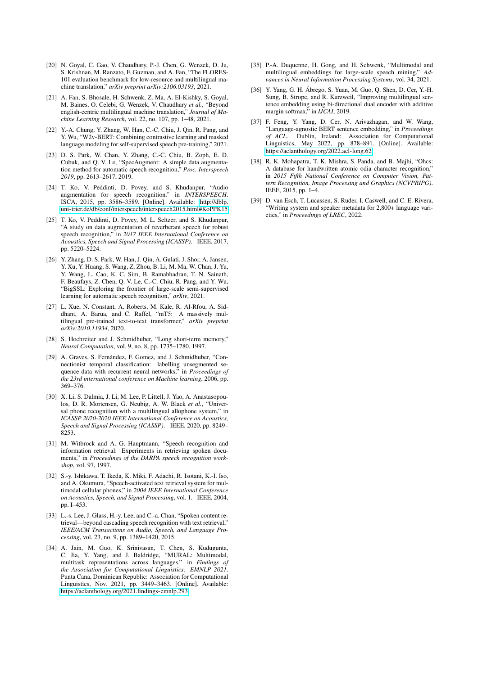- <span id="page-5-0"></span>[20] N. Goyal, C. Gao, V. Chaudhary, P.-J. Chen, G. Wenzek, D. Ju, S. Krishnan, M. Ranzato, F. Guzman, and A. Fan, "The FLORES-101 evaluation benchmark for low-resource and multilingual machine translation," *arXiv preprint arXiv:2106.03193*, 2021.
- <span id="page-5-1"></span>[21] A. Fan, S. Bhosale, H. Schwenk, Z. Ma, A. El-Kishky, S. Goyal, M. Baines, O. Celebi, G. Wenzek, V. Chaudhary *et al.*, "Beyond english-centric multilingual machine translation," *Journal of Machine Learning Research*, vol. 22, no. 107, pp. 1–48, 2021.
- <span id="page-5-2"></span>[22] Y.-A. Chung, Y. Zhang, W. Han, C.-C. Chiu, J. Qin, R. Pang, and Y. Wu, "W2v-BERT: Combining contrastive learning and masked language modeling for self-supervised speech pre-training," 2021.
- <span id="page-5-3"></span>[23] D. S. Park, W. Chan, Y. Zhang, C.-C. Chiu, B. Zoph, E. D. Cubuk, and Q. V. Le, "SpecAugment: A simple data augmentation method for automatic speech recognition," *Proc. Interspeech 2019*, pp. 2613–2617, 2019.
- <span id="page-5-4"></span>[24] T. Ko, V. Peddinti, D. Povey, and S. Khudanpur, "Audio augmentation for speech recognition." in *INTERSPEECH*. ISCA, 2015, pp. 3586–3589. [Online]. Available: [http://dblp.](http://dblp.uni-trier.de/db/conf/interspeech/interspeech2015.html#KoPPK15) [uni-trier.de/db/conf/interspeech/interspeech2015.html#KoPPK15](http://dblp.uni-trier.de/db/conf/interspeech/interspeech2015.html#KoPPK15)
- <span id="page-5-5"></span>[25] T. Ko, V. Peddinti, D. Povey, M. L. Seltzer, and S. Khudanpur, "A study on data augmentation of reverberant speech for robust speech recognition," in *2017 IEEE International Conference on Acoustics, Speech and Signal Processing (ICASSP)*. IEEE, 2017, pp. 5220–5224.
- <span id="page-5-6"></span>[26] Y. Zhang, D. S. Park, W. Han, J. Qin, A. Gulati, J. Shor, A. Jansen, Y. Xu, Y. Huang, S. Wang, Z. Zhou, B. Li, M. Ma, W. Chan, J. Yu, Y. Wang, L. Cao, K. C. Sim, B. Ramabhadran, T. N. Sainath, F. Beaufays, Z. Chen, Q. V. Le, C.-C. Chiu, R. Pang, and Y. Wu, "BigSSL: Exploring the frontier of large-scale semi-supervised learning for automatic speech recognition," *arXiv*, 2021.
- <span id="page-5-7"></span>[27] L. Xue, N. Constant, A. Roberts, M. Kale, R. Al-Rfou, A. Siddhant, A. Barua, and C. Raffel, "mT5: A massively multilingual pre-trained text-to-text transformer," *arXiv preprint arXiv:2010.11934*, 2020.
- <span id="page-5-8"></span>[28] S. Hochreiter and J. Schmidhuber, "Long short-term memory," *Neural Computation*, vol. 9, no. 8, pp. 1735–1780, 1997.
- <span id="page-5-9"></span>[29] A. Graves, S. Fernández, F. Gomez, and J. Schmidhuber, "Connectionist temporal classification: labelling unsegmented sequence data with recurrent neural networks," in *Proceedings of the 23rd international conference on Machine learning*, 2006, pp. 369–376.
- <span id="page-5-10"></span>[30] X. Li, S. Dalmia, J. Li, M. Lee, P. Littell, J. Yao, A. Anastasopoulos, D. R. Mortensen, G. Neubig, A. W. Black *et al.*, "Universal phone recognition with a multilingual allophone system," in *ICASSP 2020-2020 IEEE International Conference on Acoustics, Speech and Signal Processing (ICASSP)*. IEEE, 2020, pp. 8249– 8253.
- <span id="page-5-11"></span>[31] M. Witbrock and A. G. Hauptmann, "Speech recognition and information retrieval: Experiments in retrieving spoken documents," in *Proceedings of the DARPA speech recognition workshop*, vol. 97, 1997.
- <span id="page-5-12"></span>[32] S.-y. Ishikawa, T. Ikeda, K. Miki, F. Adachi, R. Isotani, K.-I. Iso, and A. Okumura, "Speech-activated text retrieval system for multimodal cellular phones," in *2004 IEEE International Conference on Acoustics, Speech, and Signal Processing*, vol. 1. IEEE, 2004, pp. I–453.
- <span id="page-5-13"></span>[33] L.-s. Lee, J. Glass, H.-v. Lee, and C.-a. Chan, "Spoken content retrieval—beyond cascading speech recognition with text retrieval," *IEEE/ACM Transactions on Audio, Speech, and Language Processing*, vol. 23, no. 9, pp. 1389–1420, 2015.
- <span id="page-5-14"></span>[34] A. Jain, M. Guo, K. Srinivasan, T. Chen, S. Kudugunta, C. Jia, Y. Yang, and J. Baldridge, "MURAL: Multimodal, multitask representations across languages," in *Findings of the Association for Computational Linguistics: EMNLP 2021*. Punta Cana, Dominican Republic: Association for Computational Linguistics, Nov. 2021, pp. 3449–3463. [Online]. Available: <https://aclanthology.org/2021.findings-emnlp.293>
- <span id="page-5-15"></span>[35] P.-A. Duquenne, H. Gong, and H. Schwenk, "Multimodal and multilingual embeddings for large-scale speech mining," *Advances in Neural Information Processing Systems*, vol. 34, 2021.
- <span id="page-5-16"></span>[36] Y. Yang, G. H. Ábrego, S. Yuan, M. Guo, Q. Shen, D. Cer, Y.-H. Sung, B. Strope, and R. Kurzweil, "Improving multilingual sentence embedding using bi-directional dual encoder with additive margin softmax," in *IJCAI*, 2019.
- <span id="page-5-17"></span>[37] F. Feng, Y. Yang, D. Cer, N. Arivazhagan, and W. Wang, "Language-agnostic BERT sentence embedding," in *Proceedings of ACL*. Dublin, Ireland: Association for Computational Linguistics, May 2022, pp. 878–891. [Online]. Available: <https://aclanthology.org/2022.acl-long.62>
- <span id="page-5-18"></span>[38] R. K. Mohapatra, T. K. Mishra, S. Panda, and B. Majhi, "Ohcs: A database for handwritten atomic odia character recognition," in *2015 Fifth National Conference on Computer Vision, Pattern Recognition, Image Processing and Graphics (NCVPRIPG)*. IEEE, 2015, pp. 1–4.
- <span id="page-5-19"></span>[39] D. van Esch, T. Lucassen, S. Ruder, I. Caswell, and C. E. Rivera, "Writing system and speaker metadata for 2,800+ language varieties," in *Proceedings of LREC*, 2022.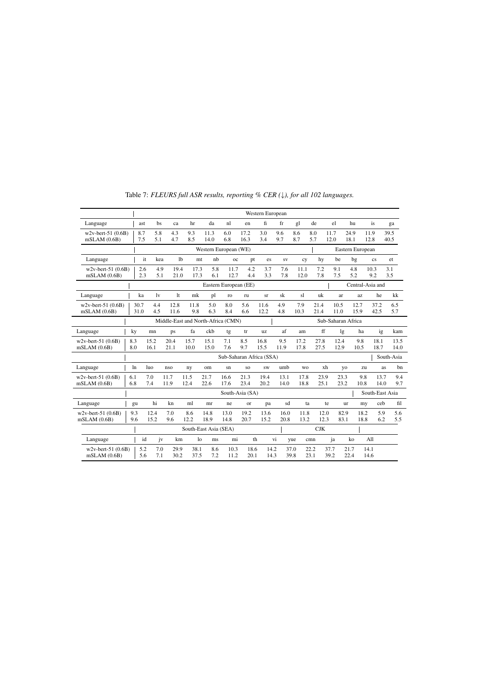|                                      |     |              |                                                          |                |                       |                       |                       |                          | Western European |              |              |              |              |              |                  |                 |              |
|--------------------------------------|-----|--------------|----------------------------------------------------------|----------------|-----------------------|-----------------------|-----------------------|--------------------------|------------------|--------------|--------------|--------------|--------------|--------------|------------------|-----------------|--------------|
| Language                             |     | ast          | bs                                                       | ca             | hr                    | da                    | nl                    | en                       | fi               | fr           | gl           | de           | el           | hu           |                  | is              | ga           |
| $w2v$ -bert-51 (0.6B)<br>mSLAM(0.6B) |     | 8.7<br>7.5   | 5.8<br>5.1                                               | 4.3<br>4.7     | 9.3<br>8.5            | 11.3<br>14.0          | 6.0<br>6.8            | 17.2<br>16.3             | 3.0<br>3.4       | 9.6<br>9.7   | 8.6<br>8.7   | 8.0<br>5.7   | 11.7<br>12.0 | 24.9<br>18.1 | 11.9<br>12.8     |                 | 39.5<br>40.5 |
|                                      |     |              |                                                          |                |                       | Western European (WE) |                       |                          |                  |              |              |              |              |              | Eastern European |                 |              |
| Language                             |     | it           | kea                                                      | 1 <sub>b</sub> | mt                    | nh                    | $_{\rm oc}$           | pt                       | es               | <b>SV</b>    | cy           | hy           | be           | bg           |                  | cs              | et           |
| $w2v$ -bert-51 (0.6B)<br>mSLAM(0.6B) |     | 2.6<br>2.3   | 4.9<br>5.1                                               | 19.4<br>21.0   | 17.3<br>17.3          | 5.8<br>6.1            | 11.7<br>12.7          | 4.2<br>4.4               | 3.7<br>3.3       | 7.6<br>7.8   | 11.1<br>12.0 | 7.2<br>7.8   | 9.1<br>7.5   | 4.8<br>5.2   | 10.3             | 9.2             | 3.1<br>3.5   |
|                                      |     |              |                                                          |                |                       |                       | Eastern European (EE) |                          |                  |              |              |              |              |              | Central-Asia and |                 |              |
| Language                             |     | ka           | 1v                                                       | 1t             | mk                    | pl                    | ro                    | ru                       | sr               | sk           | s1           | uk           | ar           |              | az               | he              | kk           |
| w2v-bert-51 (0.6B)<br>mSLAM(0.6B)    |     | 30.7<br>31.0 | 4.4<br>4.5                                               | 12.8<br>11.6   | 11.8<br>9.8           | 5.0<br>6.3            | 8.0<br>8.4            | 5.6<br>6.6               | 11.6<br>12.2     | 4.9<br>4.8   | 7.9<br>10.3  | 21.4<br>21.4 | 10.5<br>11.0 |              | 12.7<br>15.9     | 37.2<br>42.5    | 6.5<br>5.7   |
|                                      |     |              | Middle-East and North-Africa (CMN)<br>Sub-Saharan Africa |                |                       |                       |                       |                          |                  |              |              |              |              |              |                  |                 |              |
| Language                             |     | ky           | mn                                                       | ps             | fa                    | ckb                   | tg                    | tr                       | <b>uz</b>        | af           | am           | ff           |              | lg           | ha               | ig              | kam          |
| $w2v$ -bert-51 (0.6B)<br>mSLAM(0.6B) |     | 8.3<br>8.0   | 15.2<br>16.1                                             | 20.4<br>21.1   | 15.7<br>10.0          | 15.1<br>15.0          | 7.1<br>7.6            | 8.5<br>9.7               | 16.8<br>15.5     | 9.5<br>11.9  | 17.2<br>17.8 | 27.8<br>27.5 | 12.4<br>12.9 |              | 9.8<br>10.5      | 18.1<br>18.7    | 13.5<br>14.0 |
|                                      |     |              |                                                          |                |                       |                       |                       | Sub-Saharan Africa (SSA) |                  |              |              |              |              |              |                  |                 | South-Asia   |
| Language                             |     | $\ln$        | 1 <sub>u</sub>                                           | nso            | ny                    | om                    | sn                    | SO.                      | <b>SW</b>        | umb          | <b>WO</b>    | xh           |              | yo           | zu               | <b>as</b>       | hn           |
| $w2v$ -bert-51 (0.6B)<br>mSLAM(0.6B) | 6.1 | 6.8          | 7.0<br>7.4                                               | 11.7<br>11.9   | 11.5<br>12.4          | 21.7<br>22.6          | 16.6<br>17.6          | 21.3<br>23.4             | 19.4<br>20.2     | 13.1<br>14.0 | 17.8<br>18.8 | 23.9<br>25.1 |              | 23.3<br>23.2 | 9.8<br>10.8      | 13.7<br>14.0    | 9.4<br>9.7   |
|                                      |     |              |                                                          |                |                       |                       |                       | South-Asia (SA)          |                  |              |              |              |              |              |                  | South-East Asia |              |
| Language                             |     | gu           | hi                                                       | kn             | ml                    | mr                    | ne                    | <b>or</b>                | pa               | sd           | ta           |              | te           | ur           | my               | ceb             | fil          |
| $w2v$ -bert-51 (0.6B)<br>mSLAM(0.6B) |     | 9.3<br>9.6   | 12.4<br>15.2                                             | 7.0<br>9.6     | 8.6<br>12.2           | 14.8<br>18.9          | 13.0<br>14.8          | 19.2<br>20.7             | 13.6<br>15.2     | 16.0<br>20.8 | 11.8<br>13.2 | 12.0<br>12.3 |              | 82.9<br>83.1 | 18.2<br>18.8     | 5.9<br>6.2      | 5.6<br>5.5   |
|                                      |     |              |                                                          |                | South-East Asia (SEA) |                       |                       |                          |                  |              |              | CJK          |              |              |                  |                 |              |
| Language                             |     | id           | jv                                                       | km             | lo                    | ms                    | mi                    | th                       |                  | vi           | yue          | cmn          | ja           | ko           | A11              |                 |              |
| $w2v$ -bert-51 (0.6B)<br>mSLAM(0.6B) |     | 5.2<br>5.6   | 7.0<br>7.1                                               | 29.9<br>30.2   | 38.1<br>37.5          | 8.6<br>7.2            | 10.3<br>11.2          | 18.6<br>20.1             | 14.2<br>14.3     |              | 37.0<br>39.8 | 22.2<br>23.1 | 37.7<br>39.2 | 21.7<br>22.4 | 14.1<br>14.6     |                 |              |

Table 7: FLEURS full ASR results, reporting % CER ( $\downarrow$ ), for all 102 languages.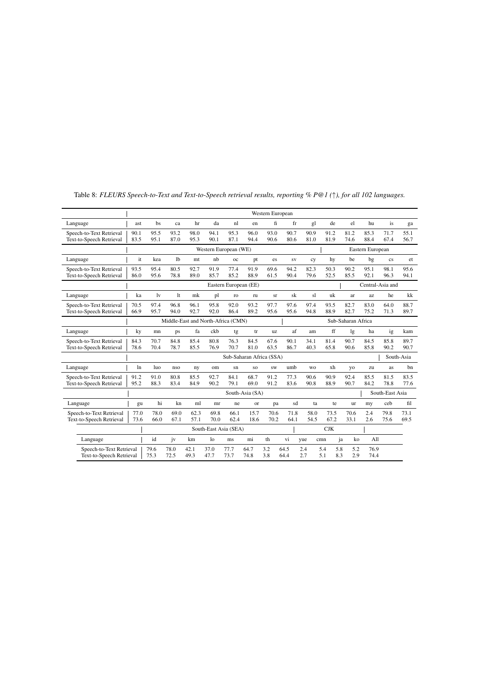|                                                      |                                    | Western European |                |               |                |                       |                          |              |              |                    |              |                |                            |                        |              |  |
|------------------------------------------------------|------------------------------------|------------------|----------------|---------------|----------------|-----------------------|--------------------------|--------------|--------------|--------------------|--------------|----------------|----------------------------|------------------------|--------------|--|
| Language                                             | ast                                | bs               | ca             | hr            | da             | nl                    | en                       | fi           | fr           | gl                 | de           | el             | hu                         | is                     | ga           |  |
| Speech-to-Text Retrieval<br>Text-to-Speech Retrieval | 90.1<br>83.5                       | 95.5<br>95.1     | 93.2<br>87.0   | 98.0<br>95.3  | 94.1<br>90.1   | 95.3<br>87.1          | 96.0<br>94.4             | 93.0<br>90.6 | 90.7<br>80.6 | 90.9<br>81.0       | 91.2<br>81.9 | 81.2<br>74.6   | 85.3<br>88.4               | 71.7<br>67.4           | 55.1<br>56.7 |  |
|                                                      |                                    |                  |                |               |                | Western European (WE) |                          |              |              |                    |              |                | Eastern European           |                        |              |  |
| Language                                             | it                                 | kea              | 1 <sub>b</sub> | <sub>mt</sub> | nh             | oc                    | pt                       | es           | <b>SV</b>    | cy                 | hy           | he             | bg                         | $\mathbf{c}\mathbf{s}$ | et           |  |
| Speech-to-Text Retrieval<br>Text-to-Speech Retrieval | 93.5<br>86.0                       | 95.4<br>95.6     | 80.5<br>78.8   | 92.7<br>89.0  | 91.9<br>85.7   | 77.4<br>85.2          | 91.9<br>88.9             | 69.6<br>61.5 | 94.2<br>90.4 | 82.3<br>79.6       | 50.3<br>52.5 | 90.2<br>85.5   | 95.1<br>92.1               | 98.1<br>96.3           | 95.6<br>94.1 |  |
|                                                      |                                    |                  |                |               |                | Eastern European (EE) |                          |              |              |                    |              |                | Central-Asia and           |                        |              |  |
| Language                                             | ka                                 | 1v               | <sup>1</sup> t | mk            | pl             | ro                    | ru                       | <b>Sr</b>    | sk           | sl                 | uk           | ar             | az                         | he                     | kk           |  |
| Speech-to-Text Retrieval<br>Text-to-Speech Retrieval | 70.5<br>66.9                       | 97.4<br>95.7     | 96.8<br>94.0   | 96.1<br>92.7  | 95.8<br>92.0   | 92.0<br>86.4          | 93.2<br>89.2             | 97.7<br>95.6 | 97.6<br>95.6 | 97.4<br>94.8       | 93.5<br>88.9 | 82.7<br>82.7   | 83.0<br>75.2               | 64.0<br>71.3           | 88.7<br>89.7 |  |
|                                                      | Middle-East and North-Africa (CMN) |                  |                |               |                |                       |                          |              |              | Sub-Saharan Africa |              |                |                            |                        |              |  |
| Language                                             | ky                                 | mn               | ps             | fa            | ckb            | tg                    | tr                       | <b>uz</b>    | af           | am                 | ff           | lg             | ha                         | ig                     | kam          |  |
| Speech-to-Text Retrieval<br>Text-to-Speech Retrieval | 84.3<br>78.6                       | 70.7<br>70.4     | 84.8<br>78.7   | 85.4<br>85.5  | 80.8<br>76.9   | 76.3<br>70.7          | 84.5<br>81.0             | 67.6<br>63.5 | 90.1<br>86.7 | 34.1<br>40.3       | 81.4<br>65.8 | 90.7<br>90.6   | 84.5<br>85.8               | 85.8<br>90.2           | 89.7<br>90.7 |  |
|                                                      |                                    |                  |                |               |                |                       | Sub-Saharan Africa (SSA) |              |              |                    |              |                |                            |                        | South-Asia   |  |
| Language                                             | ln                                 | luo              | nso            | ny            | om             | sn                    | SO.                      | <b>SW</b>    | umb          | <b>WO</b>          | xh           | V <sub>O</sub> | zu                         | as                     | bn           |  |
| Speech-to-Text Retrieval<br>Text-to-Speech Retrieval | 91.2<br>95.2                       | 91.0<br>88.3     | 80.8<br>83.4   | 85.5<br>84.9  | 92.7<br>90.2   | 84.1<br>79.1          | 68.7<br>69.0             | 91.2<br>91.2 | 77.3<br>83.6 | 90.6<br>90.8       | 90.9<br>88.9 | 92.4<br>90.7   | 85.5<br>84.2               | 81.5<br>78.8           | 83.5<br>77.6 |  |
|                                                      |                                    |                  |                |               |                |                       | South-Asia (SA)          |              |              |                    |              |                |                            | South-East Asia        |              |  |
| Language                                             | gu                                 | hi               | kn             | ml            | mr             | ne                    | or                       | pa           | sd           | ta                 |              | te<br>ur       | my                         | ceb                    | fil          |  |
| Speech-to-Text Retrieval<br>Text-to-Speech Retrieval | 77.0<br>73.6                       | 78.0<br>66.0     | 69.0<br>67.1   | 62.3<br>57.1  | 69.8<br>70.0   | 66.1<br>62.4          | 15.7<br>18.6             | 70.6<br>70.2 | 71.8<br>64.1 | 58.0<br>54.5       | 73.5<br>67.2 | 70.6<br>33.1   | 2.4<br>2.6                 | 79.8<br>75.6           | 73.1<br>69.5 |  |
|                                                      |                                    |                  |                |               |                | South-East Asia (SEA) |                          |              |              |                    | CJK          |                |                            |                        |              |  |
| Language                                             |                                    | id               | iv             | km            | 1 <sub>0</sub> | ms                    | mi                       | th           | vi           | yue                | cmn          | ja             | A11<br>ko                  |                        |              |  |
| Speech-to-Text Retrieval<br>Text-to-Speech Retrieval |                                    | 79.6<br>75.3     | 78.0<br>72.5   | 42.1<br>49.3  | 37.0<br>47.7   | 77.7<br>73.7          | 64.7<br>74.8             | 3.2<br>3.8   | 64.5<br>64.4 | 2.4<br>2.7         | 5.4<br>5.1   | 5.8<br>8.3     | 76.9<br>5.2<br>2.9<br>74.4 |                        |              |  |

<span id="page-7-0"></span>Table 8: FLEURS Speech-to-Text and Text-to-Speech retrieval results, reporting % P@1 ( $\uparrow$ ), for all 102 languages.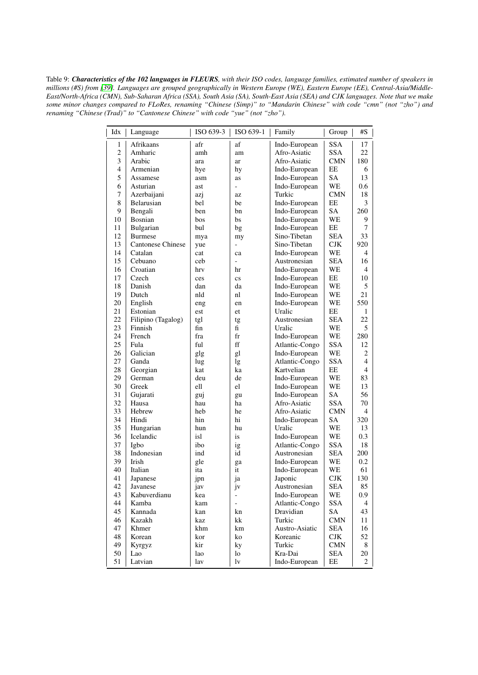<span id="page-8-0"></span>Table 9: Characteristics of the 102 languages in FLEURS, with their ISO codes, language families, estimated number of speakers in millions (#S) from [39]. Languages are grouped geographically in Western Europe (WE), Eastern Europe (EE), Central-Asia/Middle-East/North-Africa (CMN), Sub-Saharan Africa (SSA), South Asia (SA), South-East Asia (SEA) and CJK languages. Note that we make some minor changes compared to FLoRes, renaming "Chinese (Simp)" to "Mandarin Chinese" with code "cmn" (not "zho") and renaming "Chinese (Trad)" to "Cantonese Chinese" with code "yue" (not "zho").

 $\begin{array}{c} \hline \end{array}$ 

| Idx            | Language                 | ISO 639-3 | ISO 639-1                | Family         | Group      | #S               |
|----------------|--------------------------|-----------|--------------------------|----------------|------------|------------------|
| 1              | Afrikaans                | afr       | af                       | Indo-European  | <b>SSA</b> | 17               |
| $\overline{c}$ | Amharic                  | amh       | am                       | Afro-Asiatic   | <b>SSA</b> | 22               |
| 3              | Arabic                   | ara       | ar                       | Afro-Asiatic   | CMN        | 180              |
| 4              | Armenian                 | hye       | hy                       | Indo-European  | EE         | 6                |
| 5              | Assamese                 | asm       | as                       | Indo-European  | SA         | 13               |
| 6              | Asturian                 | ast       | $\overline{\phantom{0}}$ | Indo-European  | WE         | 0.6              |
| 7              | Azerbaijani              | azj       | az                       | Turkic         | CMN        | 18               |
| 8              | Belarusian               | bel       | be                       | Indo-European  | EE         | 3                |
| 9              | Bengali                  | ben       | bn                       | Indo-European  | SA         | 260              |
| 10             | Bosnian                  | bos       | bs                       | Indo-European  | WE         | 9                |
| 11             | Bulgarian                | bul       | bg                       | Indo-European  | EЕ         | 7                |
| 12             | <b>Burmese</b>           | mya       | my                       | Sino-Tibetan   | <b>SEA</b> | 33               |
| 13             | <b>Cantonese Chinese</b> | yue       | $\overline{a}$           | Sino-Tibetan   | <b>CJK</b> | 920              |
| 14             | Catalan                  | cat       | ca                       | Indo-European  | WE         | 4                |
| 15             | Cebuano                  | ceb       |                          | Austronesian   | <b>SEA</b> | 16               |
| 16             | Croatian                 | hrv       | hr                       | Indo-European  | WE         | 4                |
| 17             | Czech                    | ces       | $\mathbf{c}\mathbf{s}$   | Indo-European  | EE         | 10               |
| 18             | Danish                   | dan       | da                       | Indo-European  | WE         | 5                |
| 19             | Dutch                    | nld       | nl                       | Indo-European  | WE         | 21               |
| 20             | English                  | eng       | en                       | Indo-European  | WE         | 550              |
| 21             | Estonian                 | est       | et                       | Uralic         | EE         | 1                |
| 22             | Filipino (Tagalog)       | tgl       | tg                       | Austronesian   | <b>SEA</b> | 22               |
| 23             | Finnish                  | fin       | fi                       | Uralic         | WE         | 5                |
| 24             | French                   | fra       | fr                       | Indo-European  | WE         | 280              |
| 25             | Fula                     | ful       | ff                       | Atlantic-Congo | <b>SSA</b> | 12               |
| 26             | Galician                 | glg       | gl                       | Indo-European  | WE         | 2                |
| 27             | Ganda                    | lug       | lg                       | Atlantic-Congo | <b>SSA</b> | $\overline{4}$   |
| 28             | Georgian                 | kat       | ka                       | Kartvelian     | EE         | $\overline{4}$   |
| 29             | German                   | deu       | de                       | Indo-European  | WE         | 83               |
| 30             | Greek                    | ell       | el                       | Indo-European  | WE         | 13               |
| 31             | Gujarati                 | guj       | gu                       | Indo-European  | SA         | 56               |
| 32             | Hausa                    | hau       | ha                       | Afro-Asiatic   | <b>SSA</b> | 70               |
| 33             | Hebrew                   | heb       | he                       | Afro-Asiatic   | CMN        | 4                |
| 34             | Hindi                    | hin       | hi                       | Indo-European  | SА         | 320              |
| 35             | Hungarian                | hun       | hu                       | Uralic         | WE         | 13               |
| 36             | Icelandic                | isl       | is                       | Indo-European  | WE         | 0.3              |
| 37             | Igbo                     | ibo       | ig                       | Atlantic-Congo | <b>SSA</b> | 18               |
| 38             | Indonesian               | ind       | id                       | Austronesian   | SEA        | 200              |
| 39             | Irish                    | gle       | ga                       | Indo-European  | WE         | 0.2              |
| 40             | Italian                  | ita       | it                       | Indo-European  | WE         | 61               |
| 41             | Japanese                 | jpn       | ja                       | Japonic        | CJK        | 130              |
| 42             | Javanese                 | 1av       | Jν                       | Austronesian   | <b>SEA</b> | 85               |
| 43             | Kabuverdianu             | kea       |                          | Indo-European  | WE         | 0.9 <sub>o</sub> |
| 44             | Kamba                    | kam       | $\overline{\phantom{a}}$ | Atlantic-Congo | <b>SSA</b> | 4                |
| 45             | Kannada                  | kan       | kn                       | Dravidian      | SA         | 43               |
| 46             | Kazakh                   | kaz       | kk                       | Turkic         | <b>CMN</b> | 11               |
| 47             | Khmer                    | khm       | km                       | Austro-Asiatic | SEA        | 16               |
| 48             | Korean                   | kor       | ko                       | Koreanic       | CJK        | 52               |
| 49             | Kyrgyz                   | kir       | ky                       | Turkic         | <b>CMN</b> | 8                |
| 50             | Lao                      | lao       | lo                       | Kra-Dai        | SEA        | 20               |
| 51             | Latvian                  | lav       | lv                       | Indo-European  | EE         | 2                |